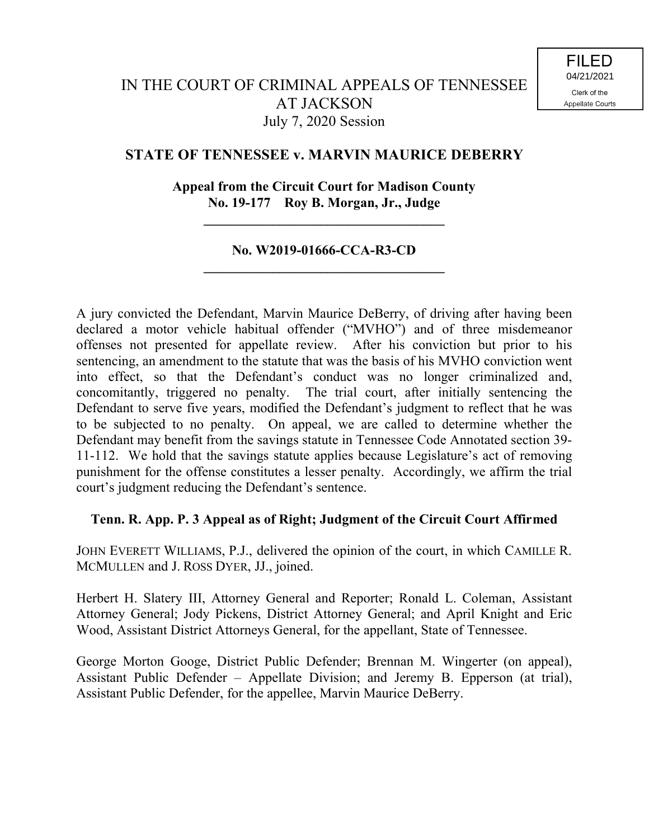## **STATE OF TENNESSEE v. MARVIN MAURICE DEBERRY**

# **Appeal from the Circuit Court for Madison County No. 19-177 Roy B. Morgan, Jr., Judge**

**\_\_\_\_\_\_\_\_\_\_\_\_\_\_\_\_\_\_\_\_\_\_\_\_\_\_\_\_\_\_\_\_\_\_\_**

## **No. W2019-01666-CCA-R3-CD \_\_\_\_\_\_\_\_\_\_\_\_\_\_\_\_\_\_\_\_\_\_\_\_\_\_\_\_\_\_\_\_\_\_\_**

A jury convicted the Defendant, Marvin Maurice DeBerry, of driving after having been declared a motor vehicle habitual offender ("MVHO") and of three misdemeanor offenses not presented for appellate review. After his conviction but prior to his sentencing, an amendment to the statute that was the basis of his MVHO conviction went into effect, so that the Defendant's conduct was no longer criminalized and, concomitantly, triggered no penalty. The trial court, after initially sentencing the Defendant to serve five years, modified the Defendant's judgment to reflect that he was to be subjected to no penalty. On appeal, we are called to determine whether the Defendant may benefit from the savings statute in Tennessee Code Annotated section 39- 11-112. We hold that the savings statute applies because Legislature's act of removing punishment for the offense constitutes a lesser penalty. Accordingly, we affirm the trial court's judgment reducing the Defendant's sentence.

## **Tenn. R. App. P. 3 Appeal as of Right; Judgment of the Circuit Court Affirmed**

JOHN EVERETT WILLIAMS, P.J., delivered the opinion of the court, in which CAMILLE R. MCMULLEN and J. ROSS DYER, JJ., joined.

Herbert H. Slatery III, Attorney General and Reporter; Ronald L. Coleman, Assistant Attorney General; Jody Pickens, District Attorney General; and April Knight and Eric Wood, Assistant District Attorneys General, for the appellant, State of Tennessee.

George Morton Googe, District Public Defender; Brennan M. Wingerter (on appeal), Assistant Public Defender – Appellate Division; and Jeremy B. Epperson (at trial), Assistant Public Defender, for the appellee, Marvin Maurice DeBerry.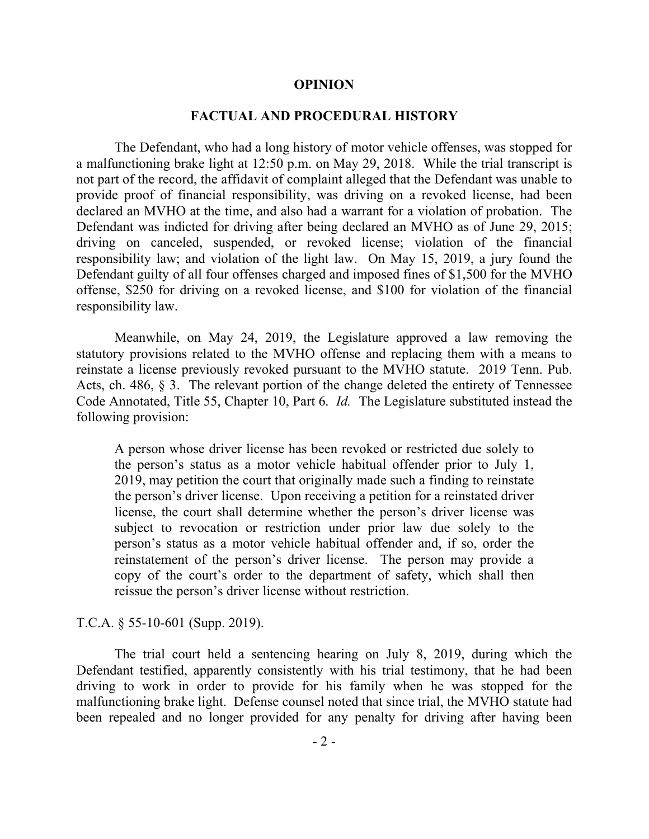#### **OPINION**

### **FACTUAL AND PROCEDURAL HISTORY**

The Defendant, who had a long history of motor vehicle offenses, was stopped for a malfunctioning brake light at 12:50 p.m. on May 29, 2018. While the trial transcript is not part of the record, the affidavit of complaint alleged that the Defendant was unable to provide proof of financial responsibility, was driving on a revoked license, had been declared an MVHO at the time, and also had a warrant for a violation of probation. The Defendant was indicted for driving after being declared an MVHO as of June 29, 2015; driving on canceled, suspended, or revoked license; violation of the financial responsibility law; and violation of the light law. On May 15, 2019, a jury found the Defendant guilty of all four offenses charged and imposed fines of \$1,500 for the MVHO offense, \$250 for driving on a revoked license, and \$100 for violation of the financial responsibility law.

Meanwhile, on May 24, 2019, the Legislature approved a law removing the statutory provisions related to the MVHO offense and replacing them with a means to reinstate a license previously revoked pursuant to the MVHO statute. 2019 Tenn. Pub. Acts, ch. 486, § 3. The relevant portion of the change deleted the entirety of Tennessee Code Annotated, Title 55, Chapter 10, Part 6. *Id.* The Legislature substituted instead the following provision:

A person whose driver license has been revoked or restricted due solely to the person's status as a motor vehicle habitual offender prior to July 1, 2019, may petition the court that originally made such a finding to reinstate the person's driver license. Upon receiving a petition for a reinstated driver license, the court shall determine whether the person's driver license was subject to revocation or restriction under prior law due solely to the person's status as a motor vehicle habitual offender and, if so, order the reinstatement of the person's driver license. The person may provide a copy of the court's order to the department of safety, which shall then reissue the person's driver license without restriction.

T.C.A. § 55-10-601 (Supp. 2019).

The trial court held a sentencing hearing on July 8, 2019, during which the Defendant testified, apparently consistently with his trial testimony, that he had been driving to work in order to provide for his family when he was stopped for the malfunctioning brake light. Defense counsel noted that since trial, the MVHO statute had been repealed and no longer provided for any penalty for driving after having been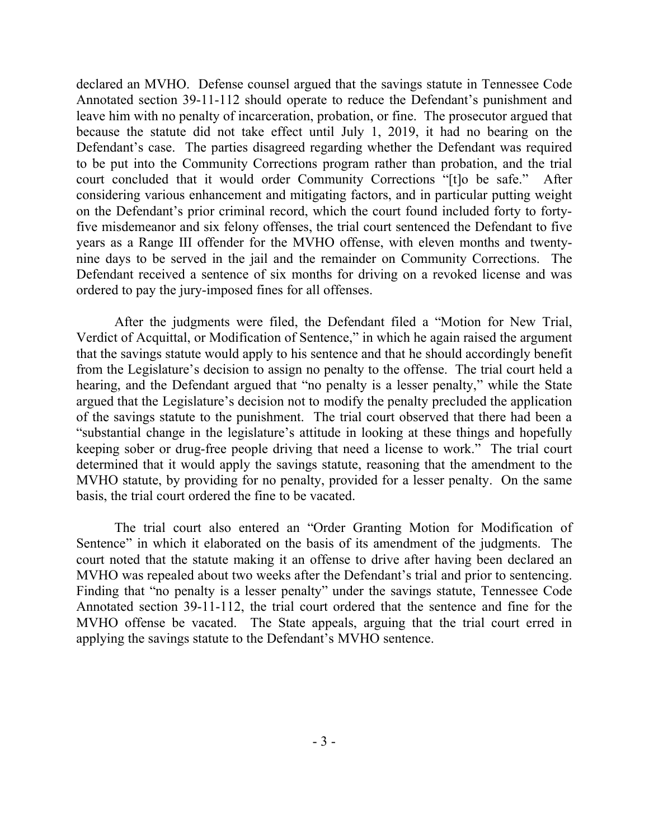declared an MVHO. Defense counsel argued that the savings statute in Tennessee Code Annotated section 39-11-112 should operate to reduce the Defendant's punishment and leave him with no penalty of incarceration, probation, or fine. The prosecutor argued that because the statute did not take effect until July 1, 2019, it had no bearing on the Defendant's case. The parties disagreed regarding whether the Defendant was required to be put into the Community Corrections program rather than probation, and the trial court concluded that it would order Community Corrections "[t]o be safe." After considering various enhancement and mitigating factors, and in particular putting weight on the Defendant's prior criminal record, which the court found included forty to fortyfive misdemeanor and six felony offenses, the trial court sentenced the Defendant to five years as a Range III offender for the MVHO offense, with eleven months and twentynine days to be served in the jail and the remainder on Community Corrections. The Defendant received a sentence of six months for driving on a revoked license and was ordered to pay the jury-imposed fines for all offenses.

After the judgments were filed, the Defendant filed a "Motion for New Trial, Verdict of Acquittal, or Modification of Sentence," in which he again raised the argument that the savings statute would apply to his sentence and that he should accordingly benefit from the Legislature's decision to assign no penalty to the offense. The trial court held a hearing, and the Defendant argued that "no penalty is a lesser penalty," while the State argued that the Legislature's decision not to modify the penalty precluded the application of the savings statute to the punishment. The trial court observed that there had been a "substantial change in the legislature's attitude in looking at these things and hopefully keeping sober or drug-free people driving that need a license to work." The trial court determined that it would apply the savings statute, reasoning that the amendment to the MVHO statute, by providing for no penalty, provided for a lesser penalty. On the same basis, the trial court ordered the fine to be vacated.

The trial court also entered an "Order Granting Motion for Modification of Sentence" in which it elaborated on the basis of its amendment of the judgments. The court noted that the statute making it an offense to drive after having been declared an MVHO was repealed about two weeks after the Defendant's trial and prior to sentencing. Finding that "no penalty is a lesser penalty" under the savings statute, Tennessee Code Annotated section 39-11-112, the trial court ordered that the sentence and fine for the MVHO offense be vacated. The State appeals, arguing that the trial court erred in applying the savings statute to the Defendant's MVHO sentence.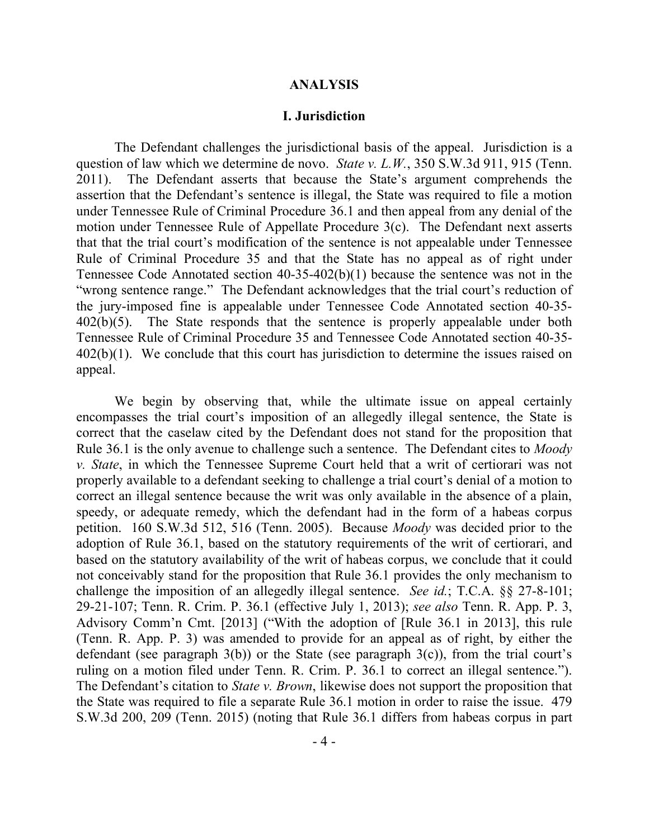#### **ANALYSIS**

### **I. Jurisdiction**

The Defendant challenges the jurisdictional basis of the appeal. Jurisdiction is a question of law which we determine de novo. *State v. L.W.*, 350 S.W.3d 911, 915 (Tenn. 2011). The Defendant asserts that because the State's argument comprehends the assertion that the Defendant's sentence is illegal, the State was required to file a motion under Tennessee Rule of Criminal Procedure 36.1 and then appeal from any denial of the motion under Tennessee Rule of Appellate Procedure 3(c). The Defendant next asserts that that the trial court's modification of the sentence is not appealable under Tennessee Rule of Criminal Procedure 35 and that the State has no appeal as of right under Tennessee Code Annotated section 40-35-402(b)(1) because the sentence was not in the "wrong sentence range." The Defendant acknowledges that the trial court's reduction of the jury-imposed fine is appealable under Tennessee Code Annotated section 40-35- 402(b)(5). The State responds that the sentence is properly appealable under both Tennessee Rule of Criminal Procedure 35 and Tennessee Code Annotated section 40-35-  $402(b)(1)$ . We conclude that this court has jurisdiction to determine the issues raised on appeal.

We begin by observing that, while the ultimate issue on appeal certainly encompasses the trial court's imposition of an allegedly illegal sentence, the State is correct that the caselaw cited by the Defendant does not stand for the proposition that Rule 36.1 is the only avenue to challenge such a sentence. The Defendant cites to *Moody v. State*, in which the Tennessee Supreme Court held that a writ of certiorari was not properly available to a defendant seeking to challenge a trial court's denial of a motion to correct an illegal sentence because the writ was only available in the absence of a plain, speedy, or adequate remedy, which the defendant had in the form of a habeas corpus petition. 160 S.W.3d 512, 516 (Tenn. 2005). Because *Moody* was decided prior to the adoption of Rule 36.1, based on the statutory requirements of the writ of certiorari, and based on the statutory availability of the writ of habeas corpus, we conclude that it could not conceivably stand for the proposition that Rule 36.1 provides the only mechanism to challenge the imposition of an allegedly illegal sentence. *See id.*; T.C.A. §§ 27-8-101; 29-21-107; Tenn. R. Crim. P. 36.1 (effective July 1, 2013); *see also* Tenn. R. App. P. 3, Advisory Comm'n Cmt. [2013] ("With the adoption of [Rule 36.1 in 2013], this rule (Tenn. R. App. P. 3) was amended to provide for an appeal as of right, by either the defendant (see paragraph  $3(b)$ ) or the State (see paragraph  $3(c)$ ), from the trial court's ruling on a motion filed under Tenn. R. Crim. P. 36.1 to correct an illegal sentence."). The Defendant's citation to *State v. Brown*, likewise does not support the proposition that the State was required to file a separate Rule 36.1 motion in order to raise the issue. 479 S.W.3d 200, 209 (Tenn. 2015) (noting that Rule 36.1 differs from habeas corpus in part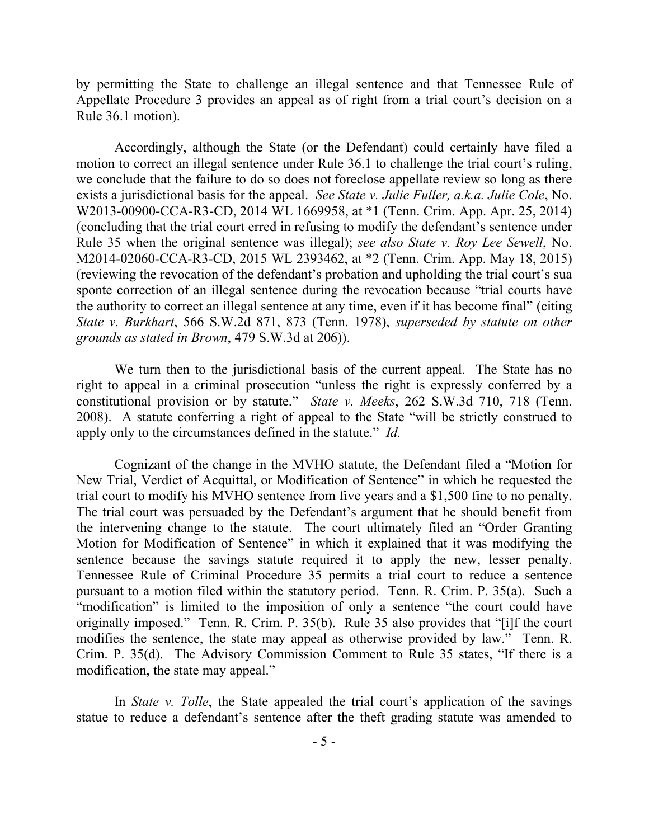by permitting the State to challenge an illegal sentence and that Tennessee Rule of Appellate Procedure 3 provides an appeal as of right from a trial court's decision on a Rule 36.1 motion).

Accordingly, although the State (or the Defendant) could certainly have filed a motion to correct an illegal sentence under Rule 36.1 to challenge the trial court's ruling, we conclude that the failure to do so does not foreclose appellate review so long as there exists a jurisdictional basis for the appeal. *See State v. Julie Fuller, a.k.a. Julie Cole*, No. W2013-00900-CCA-R3-CD, 2014 WL 1669958, at \*1 (Tenn. Crim. App. Apr. 25, 2014) (concluding that the trial court erred in refusing to modify the defendant's sentence under Rule 35 when the original sentence was illegal); *see also State v. Roy Lee Sewell*, No. M2014-02060-CCA-R3-CD, 2015 WL 2393462, at \*2 (Tenn. Crim. App. May 18, 2015) (reviewing the revocation of the defendant's probation and upholding the trial court's sua sponte correction of an illegal sentence during the revocation because "trial courts have the authority to correct an illegal sentence at any time, even if it has become final" (citing *State v. Burkhart*, 566 S.W.2d 871, 873 (Tenn. 1978), *superseded by statute on other grounds as stated in Brown*, 479 S.W.3d at 206)).

We turn then to the jurisdictional basis of the current appeal. The State has no right to appeal in a criminal prosecution "unless the right is expressly conferred by a constitutional provision or by statute." *State v. Meeks*, 262 S.W.3d 710, 718 (Tenn. 2008). A statute conferring a right of appeal to the State "will be strictly construed to apply only to the circumstances defined in the statute." *Id.*

Cognizant of the change in the MVHO statute, the Defendant filed a "Motion for New Trial, Verdict of Acquittal, or Modification of Sentence" in which he requested the trial court to modify his MVHO sentence from five years and a \$1,500 fine to no penalty. The trial court was persuaded by the Defendant's argument that he should benefit from the intervening change to the statute. The court ultimately filed an "Order Granting Motion for Modification of Sentence" in which it explained that it was modifying the sentence because the savings statute required it to apply the new, lesser penalty. Tennessee Rule of Criminal Procedure 35 permits a trial court to reduce a sentence pursuant to a motion filed within the statutory period. Tenn. R. Crim. P. 35(a). Such a "modification" is limited to the imposition of only a sentence "the court could have originally imposed." Tenn. R. Crim. P. 35(b). Rule 35 also provides that "[i]f the court modifies the sentence, the state may appeal as otherwise provided by law." Tenn. R. Crim. P. 35(d). The Advisory Commission Comment to Rule 35 states, "If there is a modification, the state may appeal."

In *State v. Tolle*, the State appealed the trial court's application of the savings statue to reduce a defendant's sentence after the theft grading statute was amended to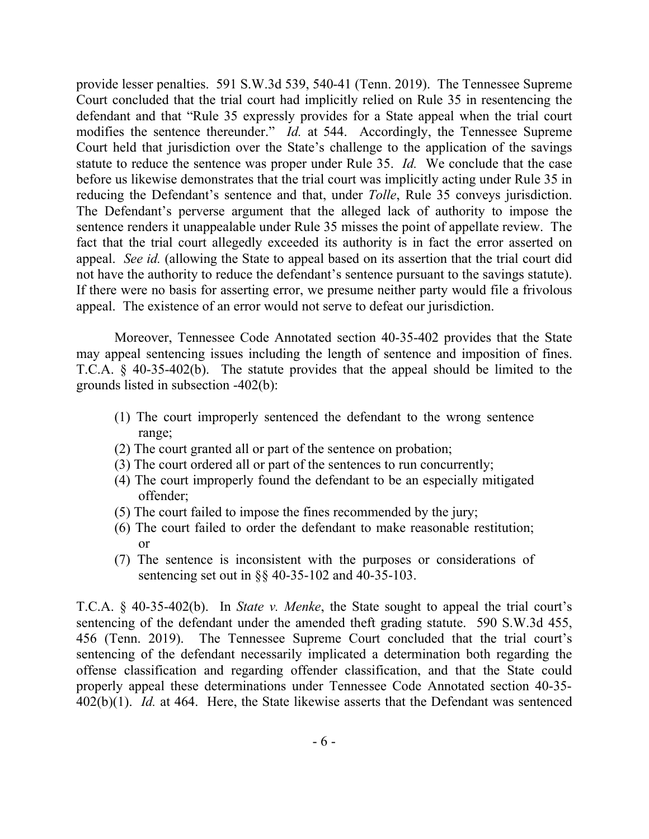provide lesser penalties. 591 S.W.3d 539, 540-41 (Tenn. 2019). The Tennessee Supreme Court concluded that the trial court had implicitly relied on Rule 35 in resentencing the defendant and that "Rule 35 expressly provides for a State appeal when the trial court modifies the sentence thereunder." *Id.* at 544. Accordingly, the Tennessee Supreme Court held that jurisdiction over the State's challenge to the application of the savings statute to reduce the sentence was proper under Rule 35. *Id.* We conclude that the case before us likewise demonstrates that the trial court was implicitly acting under Rule 35 in reducing the Defendant's sentence and that, under *Tolle*, Rule 35 conveys jurisdiction. The Defendant's perverse argument that the alleged lack of authority to impose the sentence renders it unappealable under Rule 35 misses the point of appellate review. The fact that the trial court allegedly exceeded its authority is in fact the error asserted on appeal. *See id.* (allowing the State to appeal based on its assertion that the trial court did not have the authority to reduce the defendant's sentence pursuant to the savings statute). If there were no basis for asserting error, we presume neither party would file a frivolous appeal. The existence of an error would not serve to defeat our jurisdiction.

Moreover, Tennessee Code Annotated section 40-35-402 provides that the State may appeal sentencing issues including the length of sentence and imposition of fines. T.C.A. § 40-35-402(b). The statute provides that the appeal should be limited to the grounds listed in subsection -402(b):

- (1) The court improperly sentenced the defendant to the wrong sentence range;
- (2) The court granted all or part of the sentence on probation;
- (3) The court ordered all or part of the sentences to run concurrently;
- (4) The court improperly found the defendant to be an especially mitigated offender;
- (5) The court failed to impose the fines recommended by the jury;
- (6) The court failed to order the defendant to make reasonable restitution; or
- (7) The sentence is inconsistent with the purposes or considerations of sentencing set out in §§ 40-35-102 and 40-35-103.

T.C.A. § 40-35-402(b). In *State v. Menke*, the State sought to appeal the trial court's sentencing of the defendant under the amended theft grading statute. 590 S.W.3d 455, 456 (Tenn. 2019). The Tennessee Supreme Court concluded that the trial court's sentencing of the defendant necessarily implicated a determination both regarding the offense classification and regarding offender classification, and that the State could properly appeal these determinations under Tennessee Code Annotated section 40-35- 402(b)(1). *Id.* at 464. Here, the State likewise asserts that the Defendant was sentenced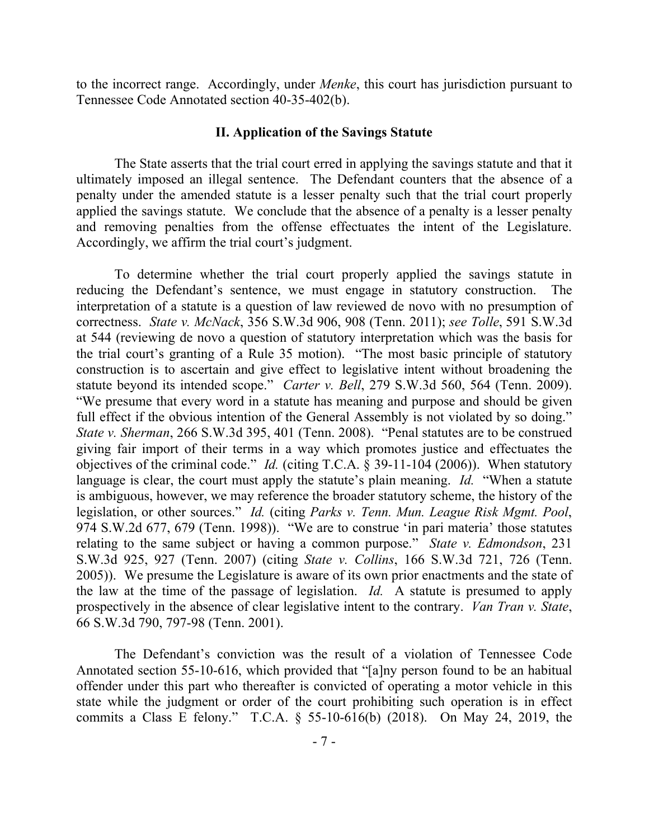to the incorrect range. Accordingly, under *Menke*, this court has jurisdiction pursuant to Tennessee Code Annotated section 40-35-402(b).

#### **II. Application of the Savings Statute**

The State asserts that the trial court erred in applying the savings statute and that it ultimately imposed an illegal sentence. The Defendant counters that the absence of a penalty under the amended statute is a lesser penalty such that the trial court properly applied the savings statute. We conclude that the absence of a penalty is a lesser penalty and removing penalties from the offense effectuates the intent of the Legislature. Accordingly, we affirm the trial court's judgment.

To determine whether the trial court properly applied the savings statute in reducing the Defendant's sentence, we must engage in statutory construction. The interpretation of a statute is a question of law reviewed de novo with no presumption of correctness. *State v. McNack*, 356 S.W.3d 906, 908 (Tenn. 2011); *see Tolle*, 591 S.W.3d at 544 (reviewing de novo a question of statutory interpretation which was the basis for the trial court's granting of a Rule 35 motion). "The most basic principle of statutory construction is to ascertain and give effect to legislative intent without broadening the statute beyond its intended scope." *Carter v. Bell*, 279 S.W.3d 560, 564 (Tenn. 2009). "We presume that every word in a statute has meaning and purpose and should be given full effect if the obvious intention of the General Assembly is not violated by so doing." *State v. Sherman*, 266 S.W.3d 395, 401 (Tenn. 2008). "Penal statutes are to be construed giving fair import of their terms in a way which promotes justice and effectuates the objectives of the criminal code." *Id.* (citing T.C.A. § 39-11-104 (2006)). When statutory language is clear, the court must apply the statute's plain meaning. *Id.* "When a statute is ambiguous, however, we may reference the broader statutory scheme, the history of the legislation, or other sources." *Id.* (citing *Parks v. Tenn. Mun. League Risk Mgmt. Pool*, 974 S.W.2d 677, 679 (Tenn. 1998)). "We are to construe 'in pari materia' those statutes relating to the same subject or having a common purpose." *State v. Edmondson*, 231 S.W.3d 925, 927 (Tenn. 2007) (citing *State v. Collins*, 166 S.W.3d 721, 726 (Tenn. 2005)). We presume the Legislature is aware of its own prior enactments and the state of the law at the time of the passage of legislation. *Id.* A statute is presumed to apply prospectively in the absence of clear legislative intent to the contrary. *Van Tran v. State*, 66 S.W.3d 790, 797-98 (Tenn. 2001).

The Defendant's conviction was the result of a violation of Tennessee Code Annotated section 55-10-616, which provided that "[a]ny person found to be an habitual offender under this part who thereafter is convicted of operating a motor vehicle in this state while the judgment or order of the court prohibiting such operation is in effect commits a Class E felony." T.C.A. § 55-10-616(b) (2018). On May 24, 2019, the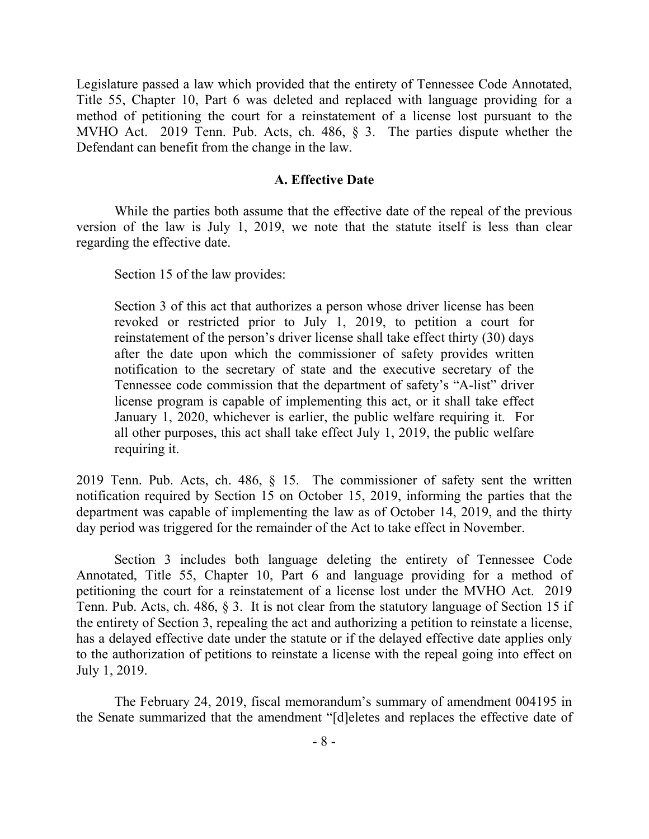Legislature passed a law which provided that the entirety of Tennessee Code Annotated, Title 55, Chapter 10, Part 6 was deleted and replaced with language providing for a method of petitioning the court for a reinstatement of a license lost pursuant to the MVHO Act. 2019 Tenn. Pub. Acts, ch. 486, § 3. The parties dispute whether the Defendant can benefit from the change in the law.

#### **A. Effective Date**

While the parties both assume that the effective date of the repeal of the previous version of the law is July 1, 2019, we note that the statute itself is less than clear regarding the effective date.

Section 15 of the law provides:

Section 3 of this act that authorizes a person whose driver license has been revoked or restricted prior to July 1, 2019, to petition a court for reinstatement of the person's driver license shall take effect thirty (30) days after the date upon which the commissioner of safety provides written notification to the secretary of state and the executive secretary of the Tennessee code commission that the department of safety's "A-list" driver license program is capable of implementing this act, or it shall take effect January 1, 2020, whichever is earlier, the public welfare requiring it. For all other purposes, this act shall take effect July 1, 2019, the public welfare requiring it.

2019 Tenn. Pub. Acts, ch. 486, § 15. The commissioner of safety sent the written notification required by Section 15 on October 15, 2019, informing the parties that the department was capable of implementing the law as of October 14, 2019, and the thirty day period was triggered for the remainder of the Act to take effect in November.

Section 3 includes both language deleting the entirety of Tennessee Code Annotated, Title 55, Chapter 10, Part 6 and language providing for a method of petitioning the court for a reinstatement of a license lost under the MVHO Act. 2019 Tenn. Pub. Acts, ch. 486, § 3. It is not clear from the statutory language of Section 15 if the entirety of Section 3, repealing the act and authorizing a petition to reinstate a license, has a delayed effective date under the statute or if the delayed effective date applies only to the authorization of petitions to reinstate a license with the repeal going into effect on July 1, 2019.

The February 24, 2019, fiscal memorandum's summary of amendment 004195 in the Senate summarized that the amendment "[d]eletes and replaces the effective date of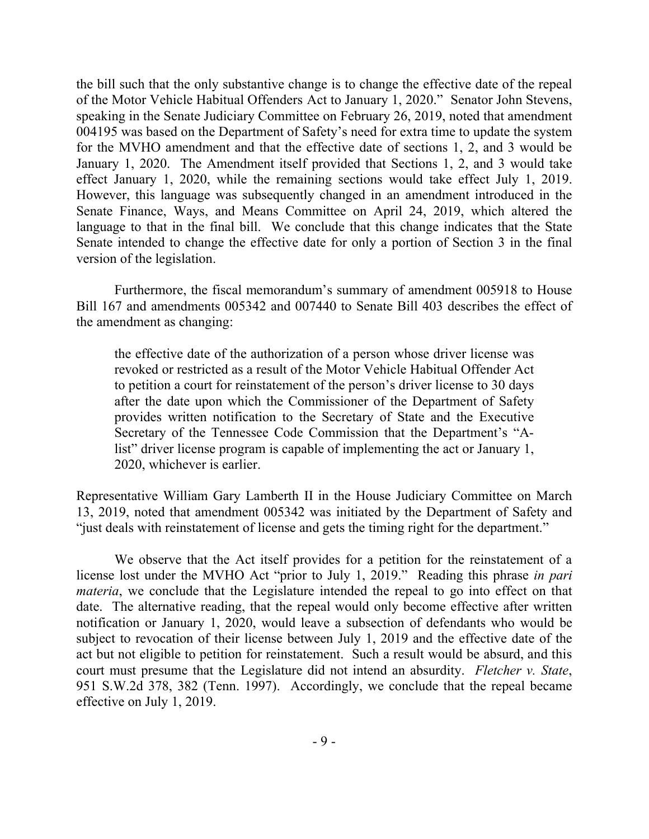the bill such that the only substantive change is to change the effective date of the repeal of the Motor Vehicle Habitual Offenders Act to January 1, 2020." Senator John Stevens, speaking in the Senate Judiciary Committee on February 26, 2019, noted that amendment 004195 was based on the Department of Safety's need for extra time to update the system for the MVHO amendment and that the effective date of sections 1, 2, and 3 would be January 1, 2020. The Amendment itself provided that Sections 1, 2, and 3 would take effect January 1, 2020, while the remaining sections would take effect July 1, 2019. However, this language was subsequently changed in an amendment introduced in the Senate Finance, Ways, and Means Committee on April 24, 2019, which altered the language to that in the final bill. We conclude that this change indicates that the State Senate intended to change the effective date for only a portion of Section 3 in the final version of the legislation.

Furthermore, the fiscal memorandum's summary of amendment 005918 to House Bill 167 and amendments 005342 and 007440 to Senate Bill 403 describes the effect of the amendment as changing:

the effective date of the authorization of a person whose driver license was revoked or restricted as a result of the Motor Vehicle Habitual Offender Act to petition a court for reinstatement of the person's driver license to 30 days after the date upon which the Commissioner of the Department of Safety provides written notification to the Secretary of State and the Executive Secretary of the Tennessee Code Commission that the Department's "Alist" driver license program is capable of implementing the act or January 1, 2020, whichever is earlier.

Representative William Gary Lamberth II in the House Judiciary Committee on March 13, 2019, noted that amendment 005342 was initiated by the Department of Safety and "just deals with reinstatement of license and gets the timing right for the department."

We observe that the Act itself provides for a petition for the reinstatement of a license lost under the MVHO Act "prior to July 1, 2019." Reading this phrase *in pari materia*, we conclude that the Legislature intended the repeal to go into effect on that date. The alternative reading, that the repeal would only become effective after written notification or January 1, 2020, would leave a subsection of defendants who would be subject to revocation of their license between July 1, 2019 and the effective date of the act but not eligible to petition for reinstatement. Such a result would be absurd, and this court must presume that the Legislature did not intend an absurdity. *Fletcher v. State*, 951 S.W.2d 378, 382 (Tenn. 1997). Accordingly, we conclude that the repeal became effective on July 1, 2019.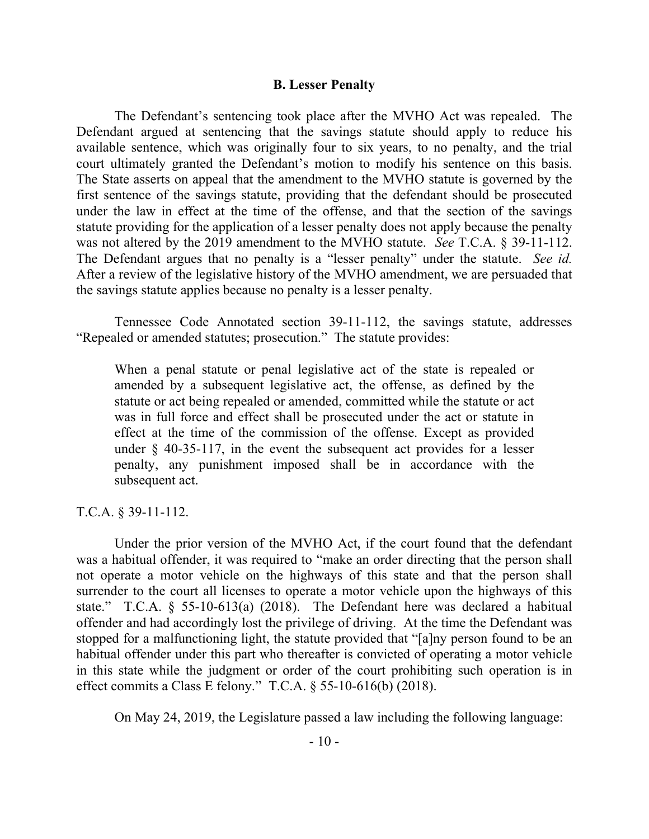#### **B. Lesser Penalty**

The Defendant's sentencing took place after the MVHO Act was repealed. The Defendant argued at sentencing that the savings statute should apply to reduce his available sentence, which was originally four to six years, to no penalty, and the trial court ultimately granted the Defendant's motion to modify his sentence on this basis. The State asserts on appeal that the amendment to the MVHO statute is governed by the first sentence of the savings statute, providing that the defendant should be prosecuted under the law in effect at the time of the offense, and that the section of the savings statute providing for the application of a lesser penalty does not apply because the penalty was not altered by the 2019 amendment to the MVHO statute. *See* T.C.A. § 39-11-112. The Defendant argues that no penalty is a "lesser penalty" under the statute. *See id.* After a review of the legislative history of the MVHO amendment, we are persuaded that the savings statute applies because no penalty is a lesser penalty.

Tennessee Code Annotated section 39-11-112, the savings statute, addresses "Repealed or amended statutes; prosecution." The statute provides:

When a penal statute or penal legislative act of the state is repealed or amended by a subsequent legislative act, the offense, as defined by the statute or act being repealed or amended, committed while the statute or act was in full force and effect shall be prosecuted under the act or statute in effect at the time of the commission of the offense. Except as provided under § 40-35-117, in the event the subsequent act provides for a lesser penalty, any punishment imposed shall be in accordance with the subsequent act.

T.C.A. § 39-11-112.

Under the prior version of the MVHO Act, if the court found that the defendant was a habitual offender, it was required to "make an order directing that the person shall not operate a motor vehicle on the highways of this state and that the person shall surrender to the court all licenses to operate a motor vehicle upon the highways of this state." T.C.A. § 55-10-613(a) (2018). The Defendant here was declared a habitual offender and had accordingly lost the privilege of driving. At the time the Defendant was stopped for a malfunctioning light, the statute provided that "[a]ny person found to be an habitual offender under this part who thereafter is convicted of operating a motor vehicle in this state while the judgment or order of the court prohibiting such operation is in effect commits a Class E felony." T.C.A. § 55-10-616(b) (2018).

On May 24, 2019, the Legislature passed a law including the following language: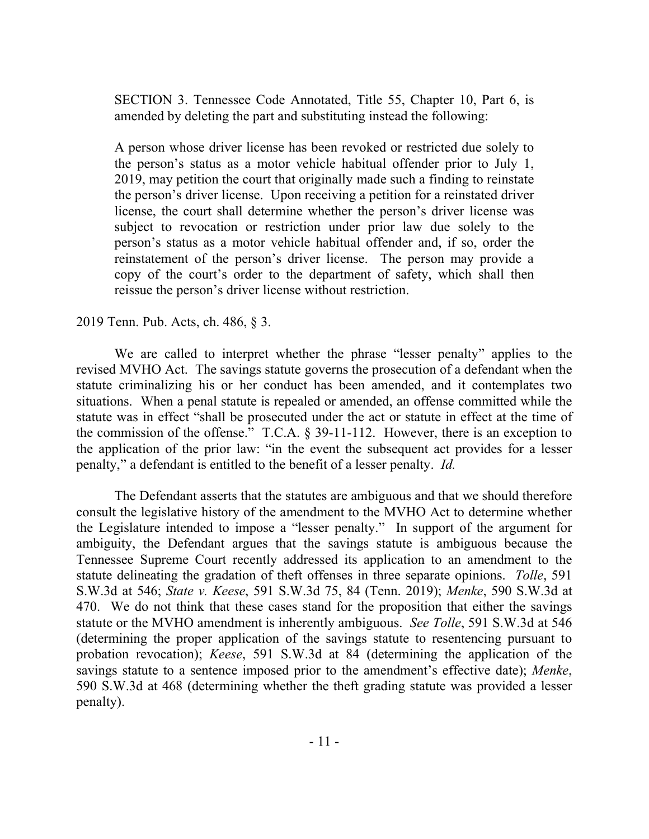SECTION 3. Tennessee Code Annotated, Title 55, Chapter 10, Part 6, is amended by deleting the part and substituting instead the following:

A person whose driver license has been revoked or restricted due solely to the person's status as a motor vehicle habitual offender prior to July 1, 2019, may petition the court that originally made such a finding to reinstate the person's driver license. Upon receiving a petition for a reinstated driver license, the court shall determine whether the person's driver license was subject to revocation or restriction under prior law due solely to the person's status as a motor vehicle habitual offender and, if so, order the reinstatement of the person's driver license. The person may provide a copy of the court's order to the department of safety, which shall then reissue the person's driver license without restriction.

### 2019 Tenn. Pub. Acts, ch. 486, § 3.

We are called to interpret whether the phrase "lesser penalty" applies to the revised MVHO Act. The savings statute governs the prosecution of a defendant when the statute criminalizing his or her conduct has been amended, and it contemplates two situations. When a penal statute is repealed or amended, an offense committed while the statute was in effect "shall be prosecuted under the act or statute in effect at the time of the commission of the offense." T.C.A. § 39-11-112. However, there is an exception to the application of the prior law: "in the event the subsequent act provides for a lesser penalty," a defendant is entitled to the benefit of a lesser penalty. *Id.*

The Defendant asserts that the statutes are ambiguous and that we should therefore consult the legislative history of the amendment to the MVHO Act to determine whether the Legislature intended to impose a "lesser penalty." In support of the argument for ambiguity, the Defendant argues that the savings statute is ambiguous because the Tennessee Supreme Court recently addressed its application to an amendment to the statute delineating the gradation of theft offenses in three separate opinions. *Tolle*, 591 S.W.3d at 546; *State v. Keese*, 591 S.W.3d 75, 84 (Tenn. 2019); *Menke*, 590 S.W.3d at 470. We do not think that these cases stand for the proposition that either the savings statute or the MVHO amendment is inherently ambiguous. *See Tolle*, 591 S.W.3d at 546 (determining the proper application of the savings statute to resentencing pursuant to probation revocation); *Keese*, 591 S.W.3d at 84 (determining the application of the savings statute to a sentence imposed prior to the amendment's effective date); *Menke*, 590 S.W.3d at 468 (determining whether the theft grading statute was provided a lesser penalty).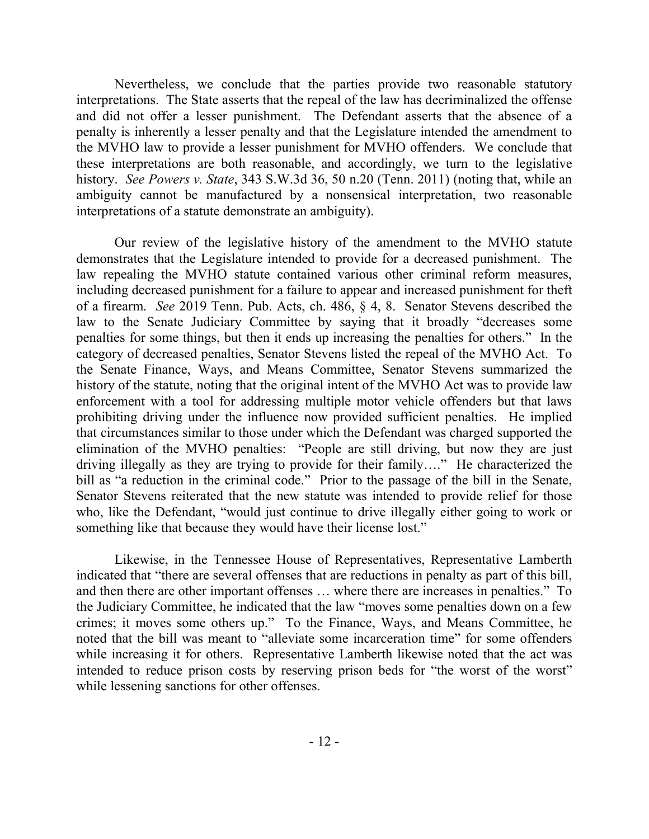Nevertheless, we conclude that the parties provide two reasonable statutory interpretations. The State asserts that the repeal of the law has decriminalized the offense and did not offer a lesser punishment. The Defendant asserts that the absence of a penalty is inherently a lesser penalty and that the Legislature intended the amendment to the MVHO law to provide a lesser punishment for MVHO offenders. We conclude that these interpretations are both reasonable, and accordingly, we turn to the legislative history. *See Powers v. State*, 343 S.W.3d 36, 50 n.20 (Tenn. 2011) (noting that, while an ambiguity cannot be manufactured by a nonsensical interpretation, two reasonable interpretations of a statute demonstrate an ambiguity).

Our review of the legislative history of the amendment to the MVHO statute demonstrates that the Legislature intended to provide for a decreased punishment. The law repealing the MVHO statute contained various other criminal reform measures, including decreased punishment for a failure to appear and increased punishment for theft of a firearm. *See* 2019 Tenn. Pub. Acts, ch. 486, § 4, 8. Senator Stevens described the law to the Senate Judiciary Committee by saying that it broadly "decreases some penalties for some things, but then it ends up increasing the penalties for others." In the category of decreased penalties, Senator Stevens listed the repeal of the MVHO Act. To the Senate Finance, Ways, and Means Committee, Senator Stevens summarized the history of the statute, noting that the original intent of the MVHO Act was to provide law enforcement with a tool for addressing multiple motor vehicle offenders but that laws prohibiting driving under the influence now provided sufficient penalties. He implied that circumstances similar to those under which the Defendant was charged supported the elimination of the MVHO penalties: "People are still driving, but now they are just driving illegally as they are trying to provide for their family…." He characterized the bill as "a reduction in the criminal code." Prior to the passage of the bill in the Senate, Senator Stevens reiterated that the new statute was intended to provide relief for those who, like the Defendant, "would just continue to drive illegally either going to work or something like that because they would have their license lost."

Likewise, in the Tennessee House of Representatives, Representative Lamberth indicated that "there are several offenses that are reductions in penalty as part of this bill, and then there are other important offenses … where there are increases in penalties." To the Judiciary Committee, he indicated that the law "moves some penalties down on a few crimes; it moves some others up." To the Finance, Ways, and Means Committee, he noted that the bill was meant to "alleviate some incarceration time" for some offenders while increasing it for others. Representative Lamberth likewise noted that the act was intended to reduce prison costs by reserving prison beds for "the worst of the worst" while lessening sanctions for other offenses.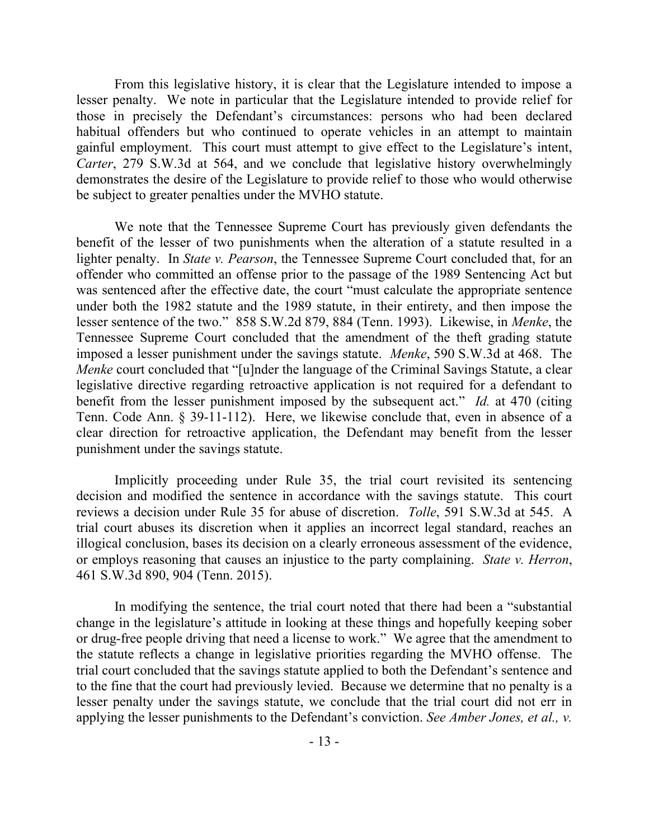From this legislative history, it is clear that the Legislature intended to impose a lesser penalty. We note in particular that the Legislature intended to provide relief for those in precisely the Defendant's circumstances: persons who had been declared habitual offenders but who continued to operate vehicles in an attempt to maintain gainful employment. This court must attempt to give effect to the Legislature's intent, *Carter*, 279 S.W.3d at 564, and we conclude that legislative history overwhelmingly demonstrates the desire of the Legislature to provide relief to those who would otherwise be subject to greater penalties under the MVHO statute.

We note that the Tennessee Supreme Court has previously given defendants the benefit of the lesser of two punishments when the alteration of a statute resulted in a lighter penalty. In *State v. Pearson*, the Tennessee Supreme Court concluded that, for an offender who committed an offense prior to the passage of the 1989 Sentencing Act but was sentenced after the effective date, the court "must calculate the appropriate sentence under both the 1982 statute and the 1989 statute, in their entirety, and then impose the lesser sentence of the two." 858 S.W.2d 879, 884 (Tenn. 1993). Likewise, in *Menke*, the Tennessee Supreme Court concluded that the amendment of the theft grading statute imposed a lesser punishment under the savings statute. *Menke*, 590 S.W.3d at 468. The *Menke* court concluded that "[u]nder the language of the Criminal Savings Statute, a clear legislative directive regarding retroactive application is not required for a defendant to benefit from the lesser punishment imposed by the subsequent act." *Id.* at 470 (citing Tenn. Code Ann. § 39-11-112). Here, we likewise conclude that, even in absence of a clear direction for retroactive application, the Defendant may benefit from the lesser punishment under the savings statute.

Implicitly proceeding under Rule 35, the trial court revisited its sentencing decision and modified the sentence in accordance with the savings statute. This court reviews a decision under Rule 35 for abuse of discretion. *Tolle*, 591 S.W.3d at 545. A trial court abuses its discretion when it applies an incorrect legal standard, reaches an illogical conclusion, bases its decision on a clearly erroneous assessment of the evidence, or employs reasoning that causes an injustice to the party complaining. *State v. Herron*, 461 S.W.3d 890, 904 (Tenn. 2015).

In modifying the sentence, the trial court noted that there had been a "substantial change in the legislature's attitude in looking at these things and hopefully keeping sober or drug-free people driving that need a license to work." We agree that the amendment to the statute reflects a change in legislative priorities regarding the MVHO offense. The trial court concluded that the savings statute applied to both the Defendant's sentence and to the fine that the court had previously levied. Because we determine that no penalty is a lesser penalty under the savings statute, we conclude that the trial court did not err in applying the lesser punishments to the Defendant's conviction. *See Amber Jones, et al., v.*